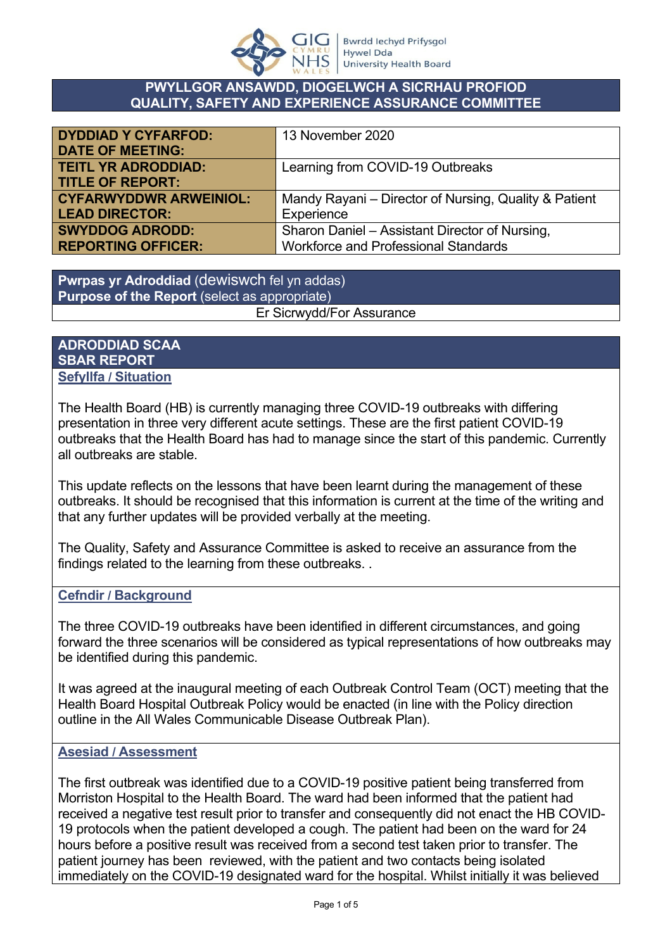

#### **PWYLLGOR ANSAWDD, DIOGELWCH A SICRHAU PROFIOD QUALITY, SAFETY AND EXPERIENCE ASSURANCE COMMITTEE**

| <b>DYDDIAD Y CYFARFOD:</b>    | 13 November 2020                                      |
|-------------------------------|-------------------------------------------------------|
| <b>DATE OF MEETING:</b>       |                                                       |
| <b>TEITL YR ADRODDIAD:</b>    | Learning from COVID-19 Outbreaks                      |
| <b>TITLE OF REPORT:</b>       |                                                       |
| <b>CYFARWYDDWR ARWEINIOL:</b> | Mandy Rayani – Director of Nursing, Quality & Patient |
| <b>LEAD DIRECTOR:</b>         | Experience                                            |
| <b>SWYDDOG ADRODD:</b>        | Sharon Daniel - Assistant Director of Nursing,        |
| <b>REPORTING OFFICER:</b>     | <b>Workforce and Professional Standards</b>           |

**Pwrpas yr Adroddiad** (dewiswch fel yn addas) **Purpose of the Report** (select as appropriate) Er Sicrwydd/For Assurance

## **ADRODDIAD SCAA SBAR REPORT Sefyllfa / Situation**

The Health Board (HB) is currently managing three COVID-19 outbreaks with differing presentation in three very different acute settings. These are the first patient COVID-19 outbreaks that the Health Board has had to manage since the start of this pandemic. Currently all outbreaks are stable.

This update reflects on the lessons that have been learnt during the management of these outbreaks. It should be recognised that this information is current at the time of the writing and that any further updates will be provided verbally at the meeting.

The Quality, Safety and Assurance Committee is asked to receive an assurance from the findings related to the learning from these outbreaks. .

## **Cefndir / Background**

The three COVID-19 outbreaks have been identified in different circumstances, and going forward the three scenarios will be considered as typical representations of how outbreaks may be identified during this pandemic.

It was agreed at the inaugural meeting of each Outbreak Control Team (OCT) meeting that the Health Board Hospital Outbreak Policy would be enacted (in line with the Policy direction outline in the All Wales Communicable Disease Outbreak Plan).

## **Asesiad / Assessment**

The first outbreak was identified due to a COVID-19 positive patient being transferred from Morriston Hospital to the Health Board. The ward had been informed that the patient had received a negative test result prior to transfer and consequently did not enact the HB COVID-19 protocols when the patient developed a cough. The patient had been on the ward for 24 hours before a positive result was received from a second test taken prior to transfer. The patient journey has been reviewed, with the patient and two contacts being isolated immediately on the COVID-19 designated ward for the hospital. Whilst initially it was believed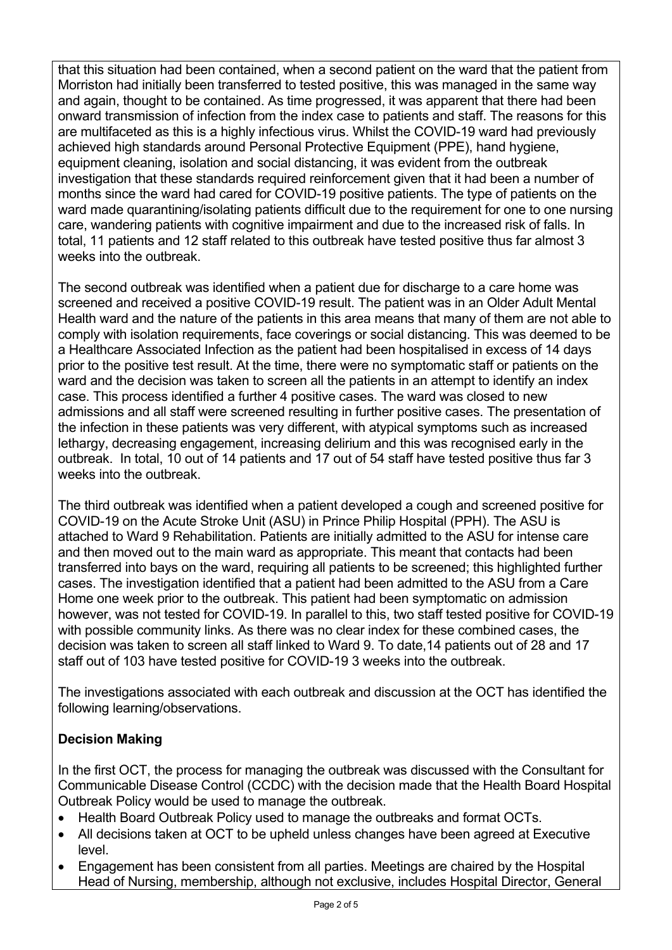that this situation had been contained, when a second patient on the ward that the patient from Morriston had initially been transferred to tested positive, this was managed in the same way and again, thought to be contained. As time progressed, it was apparent that there had been onward transmission of infection from the index case to patients and staff. The reasons for this are multifaceted as this is a highly infectious virus. Whilst the COVID-19 ward had previously achieved high standards around Personal Protective Equipment (PPE), hand hygiene, equipment cleaning, isolation and social distancing, it was evident from the outbreak investigation that these standards required reinforcement given that it had been a number of months since the ward had cared for COVID-19 positive patients. The type of patients on the ward made quarantining/isolating patients difficult due to the requirement for one to one nursing care, wandering patients with cognitive impairment and due to the increased risk of falls. In total, 11 patients and 12 staff related to this outbreak have tested positive thus far almost 3 weeks into the outbreak.

The second outbreak was identified when a patient due for discharge to a care home was screened and received a positive COVID-19 result. The patient was in an Older Adult Mental Health ward and the nature of the patients in this area means that many of them are not able to comply with isolation requirements, face coverings or social distancing. This was deemed to be a Healthcare Associated Infection as the patient had been hospitalised in excess of 14 days prior to the positive test result. At the time, there were no symptomatic staff or patients on the ward and the decision was taken to screen all the patients in an attempt to identify an index case. This process identified a further 4 positive cases. The ward was closed to new admissions and all staff were screened resulting in further positive cases. The presentation of the infection in these patients was very different, with atypical symptoms such as increased lethargy, decreasing engagement, increasing delirium and this was recognised early in the outbreak. In total, 10 out of 14 patients and 17 out of 54 staff have tested positive thus far 3 weeks into the outbreak.

The third outbreak was identified when a patient developed a cough and screened positive for COVID-19 on the Acute Stroke Unit (ASU) in Prince Philip Hospital (PPH). The ASU is attached to Ward 9 Rehabilitation. Patients are initially admitted to the ASU for intense care and then moved out to the main ward as appropriate. This meant that contacts had been transferred into bays on the ward, requiring all patients to be screened; this highlighted further cases. The investigation identified that a patient had been admitted to the ASU from a Care Home one week prior to the outbreak. This patient had been symptomatic on admission however, was not tested for COVID-19. In parallel to this, two staff tested positive for COVID-19 with possible community links. As there was no clear index for these combined cases, the decision was taken to screen all staff linked to Ward 9. To date,14 patients out of 28 and 17 staff out of 103 have tested positive for COVID-19 3 weeks into the outbreak.

The investigations associated with each outbreak and discussion at the OCT has identified the following learning/observations.

# **Decision Making**

In the first OCT, the process for managing the outbreak was discussed with the Consultant for Communicable Disease Control (CCDC) with the decision made that the Health Board Hospital Outbreak Policy would be used to manage the outbreak.

- Health Board Outbreak Policy used to manage the outbreaks and format OCTs.
- All decisions taken at OCT to be upheld unless changes have been agreed at Executive level.
- Engagement has been consistent from all parties. Meetings are chaired by the Hospital Head of Nursing, membership, although not exclusive, includes Hospital Director, General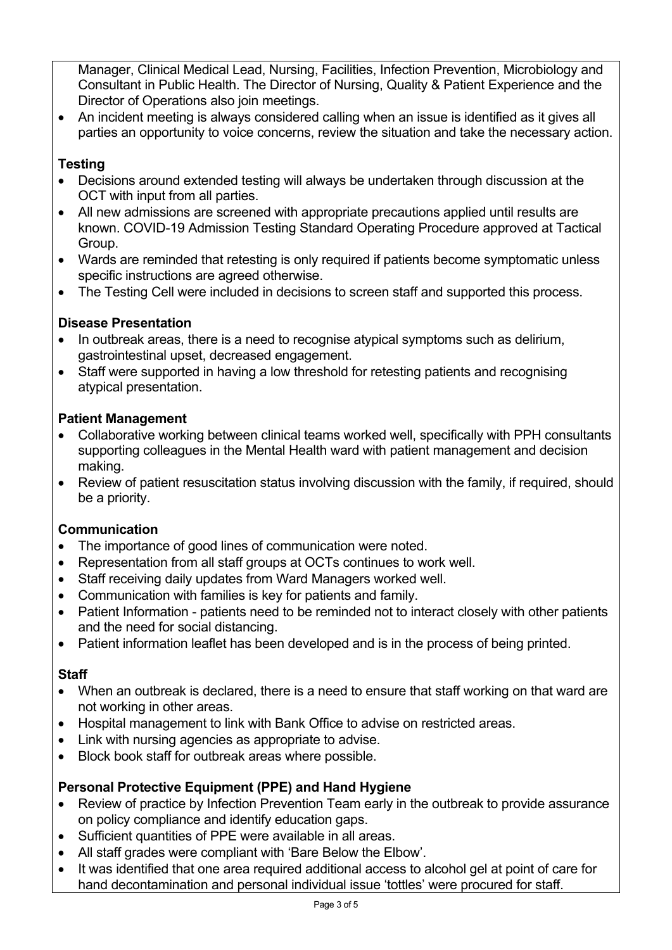Manager, Clinical Medical Lead, Nursing, Facilities, Infection Prevention, Microbiology and Consultant in Public Health. The Director of Nursing, Quality & Patient Experience and the Director of Operations also join meetings.

 An incident meeting is always considered calling when an issue is identified as it gives all parties an opportunity to voice concerns, review the situation and take the necessary action.

# **Testing**

- Decisions around extended testing will always be undertaken through discussion at the OCT with input from all parties.
- All new admissions are screened with appropriate precautions applied until results are known. COVID-19 Admission Testing Standard Operating Procedure approved at Tactical Group.
- Wards are reminded that retesting is only required if patients become symptomatic unless specific instructions are agreed otherwise.
- The Testing Cell were included in decisions to screen staff and supported this process.

## **Disease Presentation**

- In outbreak areas, there is a need to recognise atypical symptoms such as delirium, gastrointestinal upset, decreased engagement.
- Staff were supported in having a low threshold for retesting patients and recognising atypical presentation.

## **Patient Management**

- Collaborative working between clinical teams worked well, specifically with PPH consultants supporting colleagues in the Mental Health ward with patient management and decision making.
- Review of patient resuscitation status involving discussion with the family, if required, should be a priority.

# **Communication**

- The importance of good lines of communication were noted.
- Representation from all staff groups at OCTs continues to work well.
- Staff receiving daily updates from Ward Managers worked well.
- Communication with families is key for patients and family.
- Patient Information patients need to be reminded not to interact closely with other patients and the need for social distancing.
- Patient information leaflet has been developed and is in the process of being printed.

## **Staff**

- When an outbreak is declared, there is a need to ensure that staff working on that ward are not working in other areas.
- Hospital management to link with Bank Office to advise on restricted areas.
- Link with nursing agencies as appropriate to advise.
- Block book staff for outbreak areas where possible.

# **Personal Protective Equipment (PPE) and Hand Hygiene**

- Review of practice by Infection Prevention Team early in the outbreak to provide assurance on policy compliance and identify education gaps.
- Sufficient quantities of PPE were available in all areas.
- All staff grades were compliant with 'Bare Below the Elbow'.
- It was identified that one area required additional access to alcohol gel at point of care for hand decontamination and personal individual issue 'tottles' were procured for staff.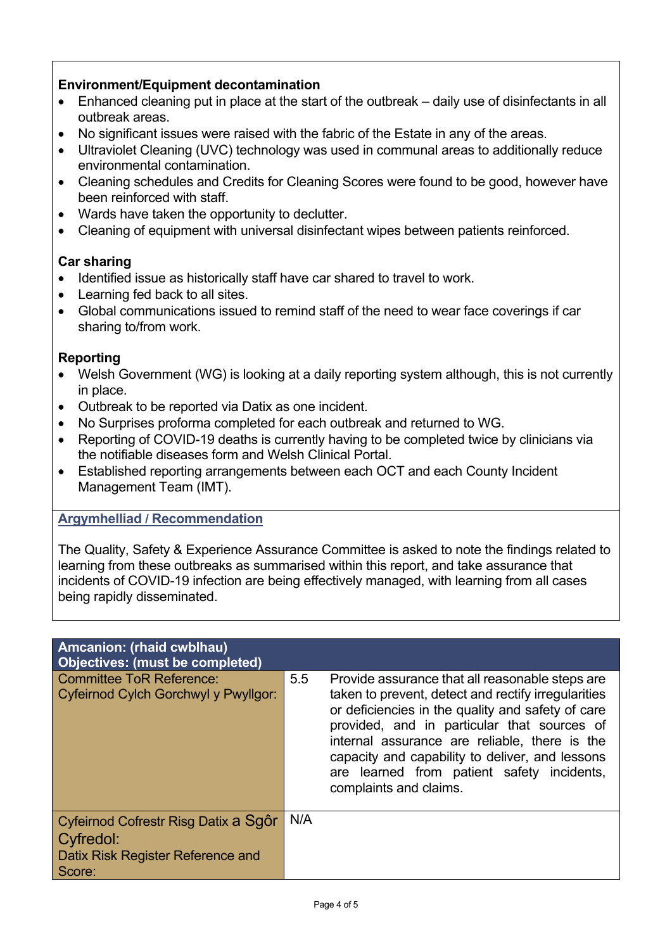## **Environment/Equipment decontamination**

- Enhanced cleaning put in place at the start of the outbreak daily use of disinfectants in all outbreak areas.
- No significant issues were raised with the fabric of the Estate in any of the areas.
- Ultraviolet Cleaning (UVC) technology was used in communal areas to additionally reduce environmental contamination.
- Cleaning schedules and Credits for Cleaning Scores were found to be good, however have been reinforced with staff.
- Wards have taken the opportunity to declutter.
- Cleaning of equipment with universal disinfectant wipes between patients reinforced.

## **Car sharing**

- Identified issue as historically staff have car shared to travel to work.
- Learning fed back to all sites.
- Global communications issued to remind staff of the need to wear face coverings if car sharing to/from work.

## **Reporting**

- Welsh Government (WG) is looking at a daily reporting system although, this is not currently in place.
- Outbreak to be reported via Datix as one incident.
- No Surprises proforma completed for each outbreak and returned to WG.
- Reporting of COVID-19 deaths is currently having to be completed twice by clinicians via the notifiable diseases form and Welsh Clinical Portal.
- Established reporting arrangements between each OCT and each County Incident Management Team (IMT).

## **Argymhelliad / Recommendation**

The Quality, Safety & Experience Assurance Committee is asked to note the findings related to learning from these outbreaks as summarised within this report, and take assurance that incidents of COVID-19 infection are being effectively managed, with learning from all cases being rapidly disseminated.

| Amcanion: (rhaid cwblhau)<br><b>Objectives: (must be completed)</b>                              |     |                                                                                                                                                                                                                                                                                                                                                                                        |
|--------------------------------------------------------------------------------------------------|-----|----------------------------------------------------------------------------------------------------------------------------------------------------------------------------------------------------------------------------------------------------------------------------------------------------------------------------------------------------------------------------------------|
| <b>Committee ToR Reference:</b><br>Cyfeirnod Cylch Gorchwyl y Pwyllgor:                          | 5.5 | Provide assurance that all reasonable steps are<br>taken to prevent, detect and rectify irregularities<br>or deficiencies in the quality and safety of care<br>provided, and in particular that sources of<br>internal assurance are reliable, there is the<br>capacity and capability to deliver, and lessons<br>are learned from patient safety incidents,<br>complaints and claims. |
| Cyfeirnod Cofrestr Risg Datix a Sqôr<br>Cyfredol:<br>Datix Risk Register Reference and<br>Score: | N/A |                                                                                                                                                                                                                                                                                                                                                                                        |